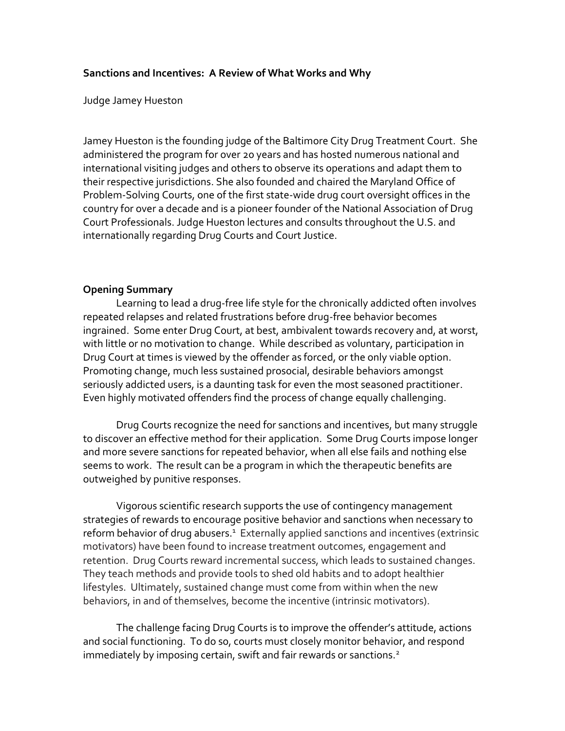#### **Sanctions and Incentives: A Review of What Works and Why**

Judge Jamey Hueston

Jamey Hueston is the founding judge of the Baltimore City Drug Treatment Court. She administered the program for over 20 years and has hosted numerous national and international visiting judges and others to observe its operations and adapt them to their respective jurisdictions. She also founded and chaired the Maryland Office of Problem-Solving Courts, one of the first state-wide drug court oversight offices in the country for over a decade and is a pioneer founder of the National Association of Drug Court Professionals. Judge Hueston lectures and consults throughout the U.S. and internationally regarding Drug Courts and Court Justice.

#### **Opening Summary**

Learning to lead a drug-free life style for the chronically addicted often involves repeated relapses and related frustrations before drug-free behavior becomes ingrained. Some enter Drug Court, at best, ambivalent towards recovery and, at worst, with little or no motivation to change. While described as voluntary, participation in Drug Court at times is viewed by the offender as forced, or the only viable option. Promoting change, much less sustained prosocial, desirable behaviors amongst seriously addicted users, is a daunting task for even the most seasoned practitioner. Even highly motivated offenders find the process of change equally challenging.

Drug Courts recognize the need for sanctions and incentives, but many struggle to discover an effective method for their application. Some Drug Courts impose longer and more severe sanctions for repeated behavior, when all else fails and nothing else seems to work. The result can be a program in which the therapeutic benefits are outweighed by punitive responses.

 Vigorous scientific research supports the use of contingency management strategies of rewards to encourage positive behavior and sanctions when necessary to reform behavior of drug abusers.<sup>1</sup> Externally applied sanctions and incentives (extrinsic motivators) have been found to increase treatment outcomes, engagement and retention. Drug Courts reward incremental success, which leads to sustained changes. They teach methods and provide tools to shed old habits and to adopt healthier lifestyles. Ultimately, sustained change must come from within when the new behaviors, in and of themselves, become the incentive (intrinsic motivators).

The challenge facing Drug Courts is to improve the offender's attitude, actions and social functioning. To do so, courts must closely monitor behavior, and respond immediately by imposing certain, swift and fair rewards or sanctions.<sup>2</sup>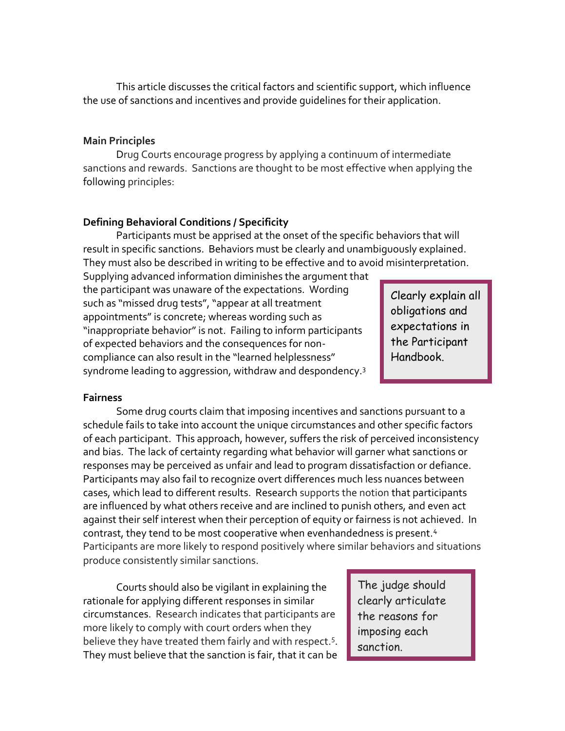This article discusses the critical factors and scientific support, which influence the use of sanctions and incentives and provide guidelines for their application.

#### **Main Principles**

 Drug Courts encourage progress by applying a continuum of intermediate sanctions and rewards. Sanctions are thought to be most effective when applying the following principles:

## **Defining Behavioral Conditions / Specificity**

Participants must be apprised at the onset of the specific behaviors that will result in specific sanctions. Behaviors must be clearly and unambiguously explained. They must also be described in writing to be effective and to avoid misinterpretation.

Supplying advanced information diminishes the argument that the participant was unaware of the expectations. Wording such as "missed drug tests", "appear at all treatment appointments" is concrete; whereas wording such as "inappropriate behavior" is not. Failing to inform participants of expected behaviors and the consequences for noncompliance can also result in the "learned helplessness" syndrome leading to aggression, withdraw and despondency.<sup>3</sup>

Clearly explain all obligations and expectations in the Participant Handbook.

#### **Fairness**

 Some drug courts claim that imposing incentives and sanctions pursuant to a schedule fails to take into account the unique circumstances and other specific factors of each participant. This approach, however, suffers the risk of perceived inconsistency and bias. The lack of certainty regarding what behavior will garner what sanctions or responses may be perceived as unfair and lead to program dissatisfaction or defiance. Participants may also fail to recognize overt differences much less nuances between cases, which lead to different results. Research supports the notion that participants are influenced by what others receive and are inclined to punish others, and even act against their self interest when their perception of equity or fairness is not achieved. In contrast, they tend to be most cooperative when evenhandedness is present.<sup>4</sup> Participants are more likely to respond positively where similar behaviors and situations produce consistently similar sanctions.

Courts should also be vigilant in explaining the rationale for applying different responses in similar circumstances. Research indicates that participants are more likely to comply with court orders when they believe they have treated them fairly and with respect.<sup>5</sup>. They must believe that the sanction is fair, that it can be The judge should clearly articulate the reasons for imposing each sanction.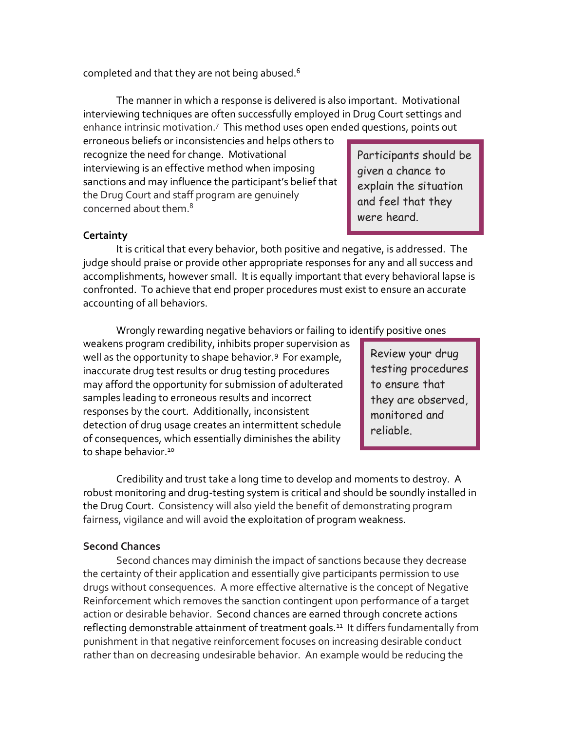completed and that they are not being abused.<sup>6</sup>

 The manner in which a response is delivered is also important. Motivational interviewing techniques are often successfully employed in Drug Court settings and enhance intrinsic motivation.<sup>7</sup> This method uses open ended questions, points out

erroneous beliefs or inconsistencies and helps others to recognize the need for change. Motivational interviewing is an effective method when imposing sanctions and may influence the participant's belief that the Drug Court and staff program are genuinely concerned about them.<sup>8</sup>

Participants should be given a chance to explain the situation and feel that they were heard.

## **Certainty**

It is critical that every behavior, both positive and negative, is addressed. The judge should praise or provide other appropriate responses for any and all success and accomplishments, however small. It is equally important that every behavioral lapse is confronted. To achieve that end proper procedures must exist to ensure an accurate accounting of all behaviors.

Wrongly rewarding negative behaviors or failing to identify positive ones

weakens program credibility, inhibits proper supervision as well as the opportunity to shape behavior.<sup>9</sup> For example, inaccurate drug test results or drug testing procedures may afford the opportunity for submission of adulterated samples leading to erroneous results and incorrect responses by the court. Additionally, inconsistent detection of drug usage creates an intermittent schedule of consequences, which essentially diminishes the ability to shape behavior.<sup>10</sup>

Review your drug testing procedures to ensure that they are observed, monitored and reliable.

 Credibility and trust take a long time to develop and moments to destroy. A robust monitoring and drug-testing system is critical and should be soundly installed in the Drug Court. Consistency will also yield the benefit of demonstrating program fairness, vigilance and will avoid the exploitation of program weakness.

## **Second Chances**

 Second chances may diminish the impact of sanctions because they decrease the certainty of their application and essentially give participants permission to use drugs without consequences. A more effective alternative is the concept of Negative Reinforcement which removes the sanction contingent upon performance of a target action or desirable behavior. Second chances are earned through concrete actions reflecting demonstrable attainment of treatment goals.<sup>11</sup> It differs fundamentally from punishment in that negative reinforcement focuses on increasing desirable conduct rather than on decreasing undesirable behavior. An example would be reducing the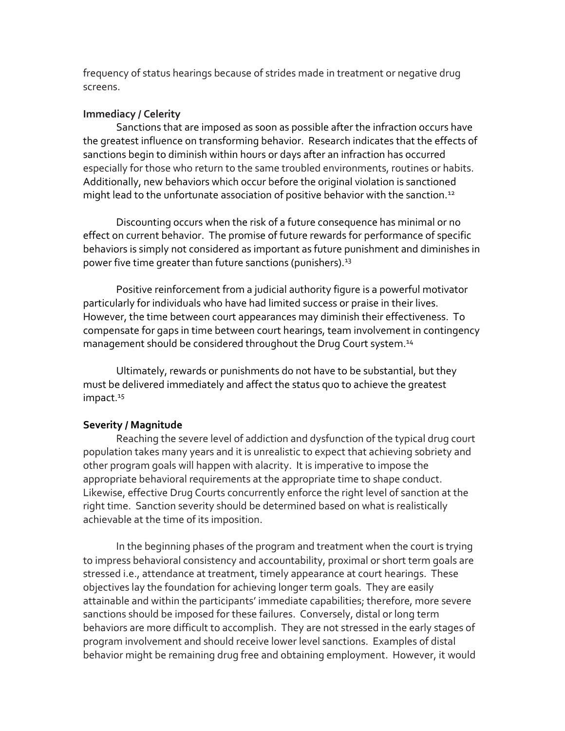frequency of status hearings because of strides made in treatment or negative drug screens.

## **Immediacy / Celerity**

 Sanctions that are imposed as soon as possible after the infraction occurs have the greatest influence on transforming behavior. Research indicates that the effects of sanctions begin to diminish within hours or days after an infraction has occurred especially for those who return to the same troubled environments, routines or habits. Additionally, new behaviors which occur before the original violation is sanctioned might lead to the unfortunate association of positive behavior with the sanction.<sup>12</sup>

 Discounting occurs when the risk of a future consequence has minimal or no effect on current behavior. The promise of future rewards for performance of specific behaviors is simply not considered as important as future punishment and diminishes in power five time greater than future sanctions (punishers).<sup>13</sup>

 Positive reinforcement from a judicial authority figure is a powerful motivator particularly for individuals who have had limited success or praise in their lives. However, the time between court appearances may diminish their effectiveness. To compensate for gaps in time between court hearings, team involvement in contingency management should be considered throughout the Drug Court system.<sup>14</sup>

 Ultimately, rewards or punishments do not have to be substantial, but they must be delivered immediately and affect the status quo to achieve the greatest impact.<sup>15</sup>

# **Severity / Magnitude**

 Reaching the severe level of addiction and dysfunction of the typical drug court population takes many years and it is unrealistic to expect that achieving sobriety and other program goals will happen with alacrity. It is imperative to impose the appropriate behavioral requirements at the appropriate time to shape conduct. Likewise, effective Drug Courts concurrently enforce the right level of sanction at the right time. Sanction severity should be determined based on what is realistically achievable at the time of its imposition.

In the beginning phases of the program and treatment when the court is trying to impress behavioral consistency and accountability, proximal or short term goals are stressed i.e., attendance at treatment, timely appearance at court hearings. These objectives lay the foundation for achieving longer term goals. They are easily attainable and within the participants' immediate capabilities; therefore, more severe sanctions should be imposed for these failures. Conversely, distal or long term behaviors are more difficult to accomplish. They are not stressed in the early stages of program involvement and should receive lower level sanctions. Examples of distal behavior might be remaining drug free and obtaining employment. However, it would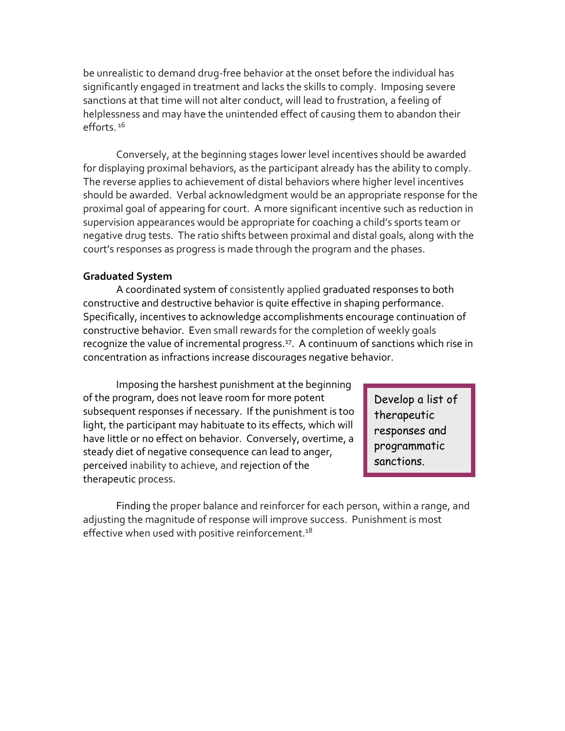be unrealistic to demand drug-free behavior at the onset before the individual has significantly engaged in treatment and lacks the skills to comply. Imposing severe sanctions at that time will not alter conduct, will lead to frustration, a feeling of helplessness and may have the unintended effect of causing them to abandon their efforts  $16$ 

 Conversely, at the beginning stages lower level incentives should be awarded for displaying proximal behaviors, as the participant already has the ability to comply. The reverse applies to achievement of distal behaviors where higher level incentives should be awarded. Verbal acknowledgment would be an appropriate response for the proximal goal of appearing for court. A more significant incentive such as reduction in supervision appearances would be appropriate for coaching a child's sports team or negative drug tests. The ratio shifts between proximal and distal goals, along with the court's responses as progress is made through the program and the phases.

#### **Graduated System**

 A coordinated system of consistently applied graduated responses to both constructive and destructive behavior is quite effective in shaping performance. Specifically, incentives to acknowledge accomplishments encourage continuation of constructive behavior. Even small rewards for the completion of weekly goals recognize the value of incremental progress.<sup>17</sup>. A continuum of sanctions which rise in concentration as infractions increase discourages negative behavior.

Imposing the harshest punishment at the beginning of the program, does not leave room for more potent subsequent responses if necessary. If the punishment is too light, the participant may habituate to its effects, which will have little or no effect on behavior. Conversely, overtime, a steady diet of negative consequence can lead to anger, perceived inability to achieve, and rejection of the therapeutic process.

Develop a list of therapeutic responses and programmatic sanctions.

Finding the proper balance and reinforcer for each person, within a range, and adjusting the magnitude of response will improve success. Punishment is most effective when used with positive reinforcement.<sup>18</sup>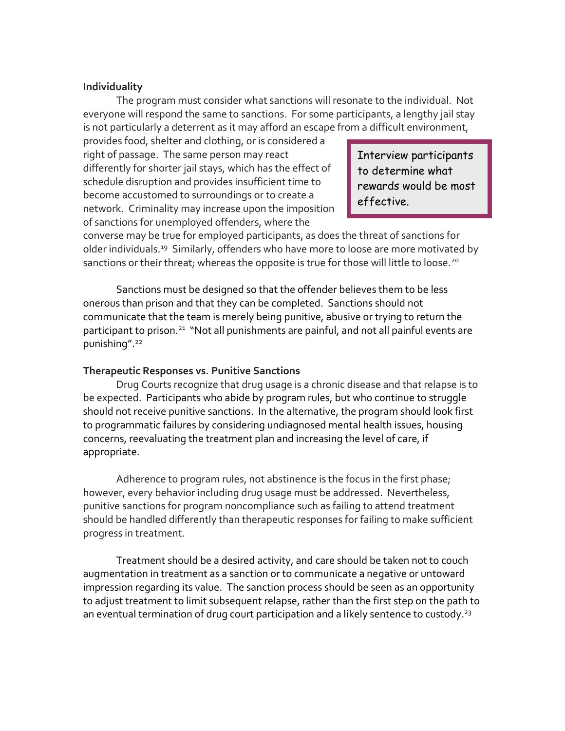#### **Individuality**

 The program must consider what sanctions will resonate to the individual. Not everyone will respond the same to sanctions. For some participants, a lengthy jail stay is not particularly a deterrent as it may afford an escape from a difficult environment,

provides food, shelter and clothing, or is considered a right of passage. The same person may react differently for shorter jail stays, which has the effect of schedule disruption and provides insufficient time to become accustomed to surroundings or to create a network. Criminality may increase upon the imposition of sanctions for unemployed offenders, where the

Interview participants to determine what rewards would be most effective.

converse may be true for employed participants, as does the threat of sanctions for older individuals.<sup>19</sup> Similarly, offenders who have more to loose are more motivated by sanctions or their threat; whereas the opposite is true for those will little to loose.<sup>20</sup>

 Sanctions must be designed so that the offender believes them to be less onerous than prison and that they can be completed. Sanctions should not communicate that the team is merely being punitive, abusive or trying to return the participant to prison.<sup>21</sup> "Not all punishments are painful, and not all painful events are punishing".<sup>22</sup>

#### **Therapeutic Responses vs. Punitive Sanctions**

 Drug Courts recognize that drug usage is a chronic disease and that relapse is to be expected. Participants who abide by program rules, but who continue to struggle should not receive punitive sanctions. In the alternative, the program should look first to programmatic failures by considering undiagnosed mental health issues, housing concerns, reevaluating the treatment plan and increasing the level of care, if appropriate.

Adherence to program rules, not abstinence is the focus in the first phase; however, every behavior including drug usage must be addressed. Nevertheless, punitive sanctions for program noncompliance such as failing to attend treatment should be handled differently than therapeutic responses for failing to make sufficient progress in treatment.

 Treatment should be a desired activity, and care should be taken not to couch augmentation in treatment as a sanction or to communicate a negative or untoward impression regarding its value. The sanction process should be seen as an opportunity to adjust treatment to limit subsequent relapse, rather than the first step on the path to an eventual termination of drug court participation and a likely sentence to custody.<sup>23</sup>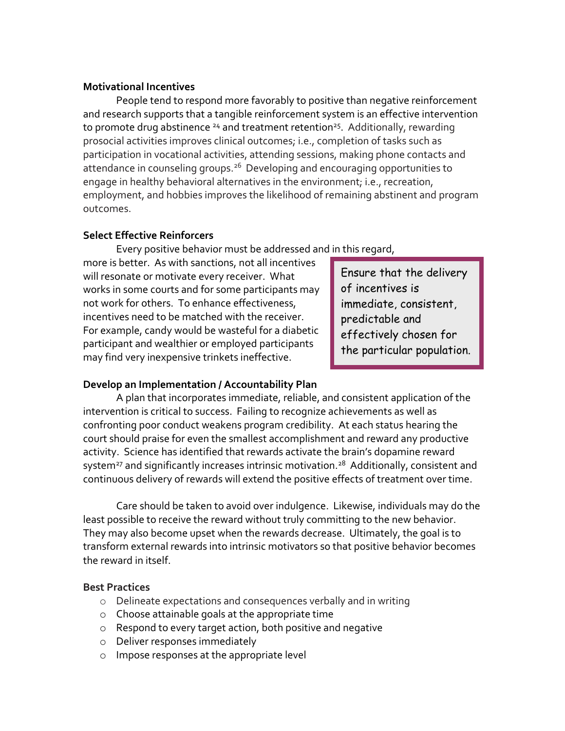#### **Motivational Incentives**

 People tend to respond more favorably to positive than negative reinforcement and research supports that a tangible reinforcement system is an effective intervention to promote drug abstinence <sup>24</sup> and treatment retention<sup>25</sup>. Additionally, rewarding prosocial activities improves clinical outcomes; i.e., completion of tasks such as participation in vocational activities, attending sessions, making phone contacts and attendance in counseling groups.<sup>26</sup> Developing and encouraging opportunities to engage in healthy behavioral alternatives in the environment; i.e., recreation, employment, and hobbies improves the likelihood of remaining abstinent and program outcomes.

#### **Select Effective Reinforcers**

Every positive behavior must be addressed and in this regard,

more is better. As with sanctions, not all incentives will resonate or motivate every receiver. What works in some courts and for some participants may not work for others. To enhance effectiveness, incentives need to be matched with the receiver. For example, candy would be wasteful for a diabetic participant and wealthier or employed participants may find very inexpensive trinkets ineffective.

Ensure that the delivery of incentives is immediate, consistent, predictable and effectively chosen for the particular population.

## **Develop an Implementation / Accountability Plan**

 A plan that incorporates immediate, reliable, and consistent application of the intervention is critical to success. Failing to recognize achievements as well as confronting poor conduct weakens program credibility. At each status hearing the court should praise for even the smallest accomplishment and reward any productive activity. Science has identified that rewards activate the brain's dopamine reward system<sup>27</sup> and significantly increases intrinsic motivation.<sup>28</sup> Additionally, consistent and continuous delivery of rewards will extend the positive effects of treatment over time.

 Care should be taken to avoid over indulgence. Likewise, individuals may do the least possible to receive the reward without truly committing to the new behavior. They may also become upset when the rewards decrease. Ultimately, the goal is to transform external rewards into intrinsic motivators so that positive behavior becomes the reward in itself.

#### **Best Practices**

- o Delineate expectations and consequences verbally and in writing
- o Choose attainable goals at the appropriate time
- o Respond to every target action, both positive and negative
- o Deliver responses immediately
- o Impose responses at the appropriate level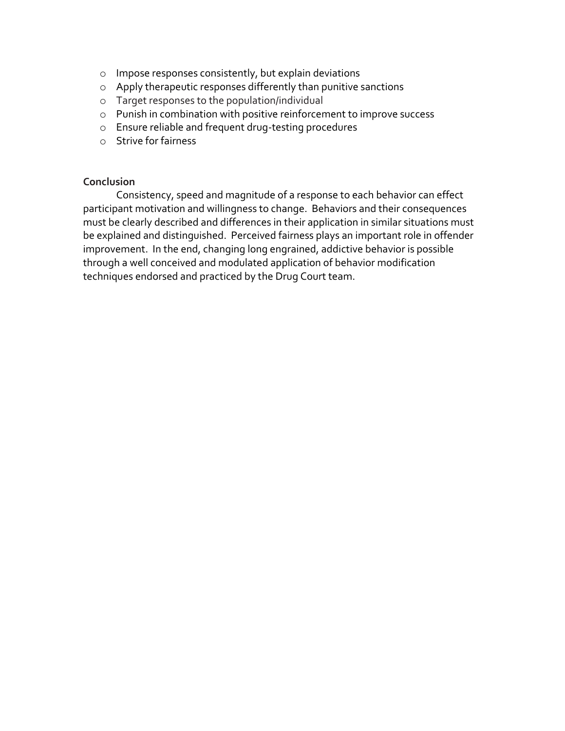- o Impose responses consistently, but explain deviations
- o Apply therapeutic responses differently than punitive sanctions
- o Target responses to the population/individual
- o Punish in combination with positive reinforcement to improve success
- o Ensure reliable and frequent drug-testing procedures
- o Strive for fairness

### **Conclusion**

 Consistency, speed and magnitude of a response to each behavior can effect participant motivation and willingness to change. Behaviors and their consequences must be clearly described and differences in their application in similar situations must be explained and distinguished. Perceived fairness plays an important role in offender improvement. In the end, changing long engrained, addictive behavior is possible through a well conceived and modulated application of behavior modification techniques endorsed and practiced by the Drug Court team.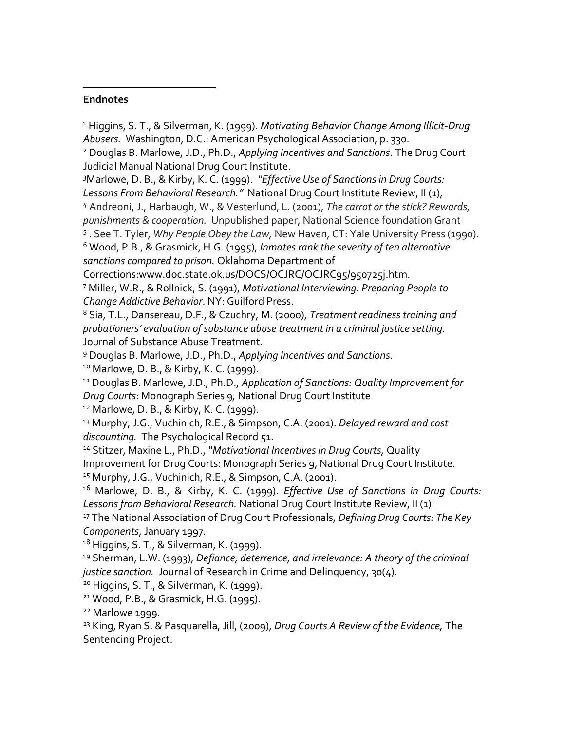### **Endnotes**

 $\overline{a}$ 

<sup>1</sup> Higgins, S. T., & Silverman, K. (1999). *Motivating Behavior Change Among Illicit-Drug Abusers.* Washington, D.C.: American Psychological Association, p. 330. <sup>2</sup> Douglas B. Marlowe, J.D., Ph.D., *Applying Incentives and Sanctions*. The Drug Court Judicial Manual National Drug Court Institute. <sup>3</sup>Marlowe, D. B., & Kirby, K. C. (1999). *"Effective Use of Sanctions in Drug Courts: Lessons From Behavioral Research."* National Drug Court Institute Review, II (1), <sup>4</sup> Andreoni, J., Harbaugh, W., & Vesterlund, L. (2001), *The carrot or the stick? Rewards, punishments & cooperation.* Unpublished paper, National Science foundation Grant 5 . See T. Tyler, *Why People Obey the Law,* New Haven, CT: Yale University Press (1990). <sup>6</sup> Wood, P.B., & Grasmick, H.G. (1995), *Inmates rank the severity of ten alternative sanctions compared to prison.* Oklahoma Department of Corrections:www.doc.state.ok.us/DOCS/OCJRC/OCJRC95/950725j.htm. <sup>7</sup> Miller, W.R., & Rollnick, S. (1991), *Motivational Interviewing: Preparing People to Change Addictive Behavior*. NY: Guilford Press. <sup>8</sup> Sia, T.L., Dansereau, D.F., & Czuchry, M. (2000), *Treatment readiness training and probationers' evaluation of substance abuse treatment in a criminal justice setting.* Journal of Substance Abuse Treatment. <sup>9</sup> Douglas B. Marlowe, J.D., Ph.D., *Applying Incentives and Sanctions*. <sup>10</sup> Marlowe, D. B., & Kirby, K. C. (1999). <sup>11</sup> Douglas B. Marlowe, J.D., Ph.D., *Application of Sanctions: Quality Improvement for Drug Courts*: Monograph Series 9*,* National Drug Court Institute <sup>12</sup> Marlowe, D. B., & Kirby, K. C. (1999). <sup>13</sup> Murphy, J.G., Vuchinich, R.E., & Simpson, C.A. (2001). *Delayed reward and cost discounting.* The Psychological Record 51. <sup>14</sup> Stitzer, Maxine L., Ph.D., *"Motivational Incentives in Drug Courts,* Quality Improvement for Drug Courts: Monograph Series 9, National Drug Court Institute. <sup>15</sup> Murphy, J.G., Vuchinich, R.E., & Simpson, C.A. (2001). <sup>16</sup> Marlowe, D. B., & Kirby, K. C. (1999). *Effective Use of Sanctions in Drug Courts: Lessons from Behavioral Research.* National Drug Court Institute Review, II (1). <sup>17</sup> The National Association of Drug Court Professionals, *Defining Drug Courts: The Key Components*, January 1997. <sup>18</sup> Higgins, S. T., & Silverman, K. (1999). <sup>19</sup> Sherman, L.W. (1993), *Defiance, deterrence, and irrelevance: A theory of the criminal justice sanction.* Journal of Research in Crime and Delinquency, 30(4). <sup>20</sup> Higgins, S. T., & Silverman, K. (1999). <sup>21</sup> Wood, P.B., & Grasmick, H.G. (1995). <sup>22</sup> Marlowe 1999. <sup>23</sup> King, Ryan S. & Pasquarella, Jill, (2009), *Drug Courts A Review of the Evidence,* The Sentencing Project.